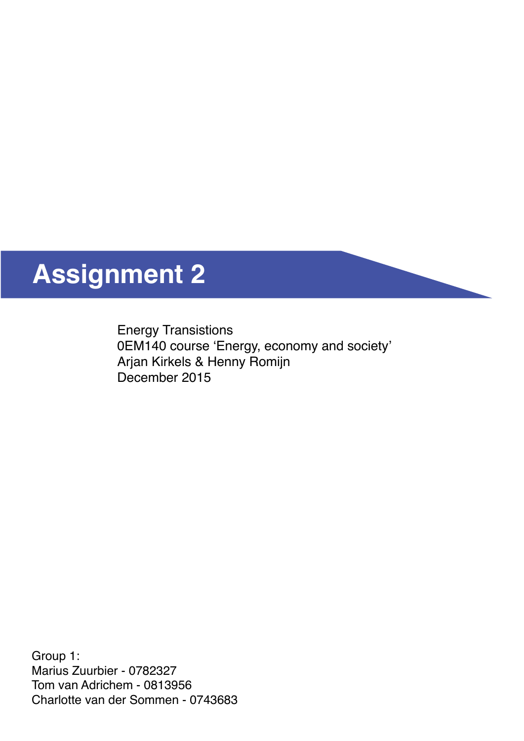## **Assignment 2**

Energy Transistions 0EM140 course 'Energy, economy and society' Arjan Kirkels & Henny Romijn December 2015

Group 1: Marius Zuurbier - 0782327 Tom van Adrichem - 0813956 Charlotte van der Sommen - 0743683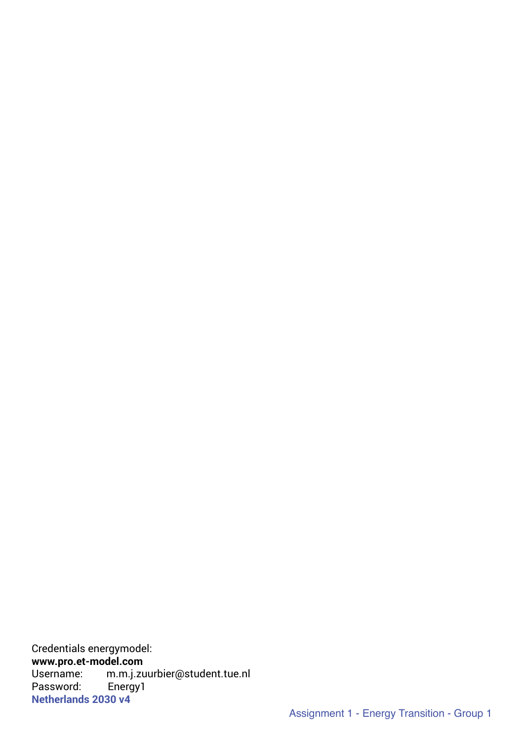Credentials energymodel: **www.pro.et-model.com**  Username: m.m.j.zuurbier@student.tue.nl<br>Password: Energy1 Password: **Netherlands 2030 v4**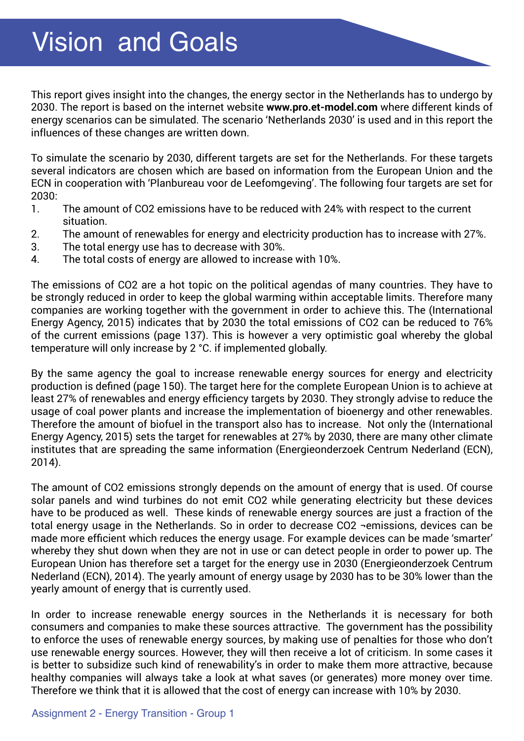This report gives insight into the changes, the energy sector in the Netherlands has to undergo by 2030. The report is based on the internet website **www.pro.et-model.com** where different kinds of energy scenarios can be simulated. The scenario 'Netherlands 2030' is used and in this report the influences of these changes are written down.

To simulate the scenario by 2030, different targets are set for the Netherlands. For these targets several indicators are chosen which are based on information from the European Union and the ECN in cooperation with 'Planbureau voor de Leefomgeving'. The following four targets are set for 2030:

- 1. The amount of CO2 emissions have to be reduced with 24% with respect to the current situation.
- 2. The amount of renewables for energy and electricity production has to increase with 27%.
- 3. The total energy use has to decrease with 30%.
- 4. The total costs of energy are allowed to increase with 10%.

The emissions of CO2 are a hot topic on the political agendas of many countries. They have to be strongly reduced in order to keep the global warming within acceptable limits. Therefore many companies are working together with the government in order to achieve this. The (International Energy Agency, 2015) indicates that by 2030 the total emissions of CO2 can be reduced to 76% of the current emissions (page 137). This is however a very optimistic goal whereby the global temperature will only increase by 2 °C. if implemented globally.

By the same agency the goal to increase renewable energy sources for energy and electricity production is defined (page 150). The target here for the complete European Union is to achieve at least 27% of renewables and energy efficiency targets by 2030. They strongly advise to reduce the usage of coal power plants and increase the implementation of bioenergy and other renewables. Therefore the amount of biofuel in the transport also has to increase. Not only the (International Energy Agency, 2015) sets the target for renewables at 27% by 2030, there are many other climate institutes that are spreading the same information (Energieonderzoek Centrum Nederland (ECN), 2014).

The amount of CO2 emissions strongly depends on the amount of energy that is used. Of course solar panels and wind turbines do not emit CO2 while generating electricity but these devices have to be produced as well. These kinds of renewable energy sources are just a fraction of the total energy usage in the Netherlands. So in order to decrease CO2 ¬emissions, devices can be made more efficient which reduces the energy usage. For example devices can be made 'smarter' whereby they shut down when they are not in use or can detect people in order to power up. The European Union has therefore set a target for the energy use in 2030 (Energieonderzoek Centrum Nederland (ECN), 2014). The yearly amount of energy usage by 2030 has to be 30% lower than the yearly amount of energy that is currently used.

In order to increase renewable energy sources in the Netherlands it is necessary for both consumers and companies to make these sources attractive. The government has the possibility to enforce the uses of renewable energy sources, by making use of penalties for those who don't use renewable energy sources. However, they will then receive a lot of criticism. In some cases it is better to subsidize such kind of renewability's in order to make them more attractive, because healthy companies will always take a look at what saves (or generates) more money over time. Therefore we think that it is allowed that the cost of energy can increase with 10% by 2030.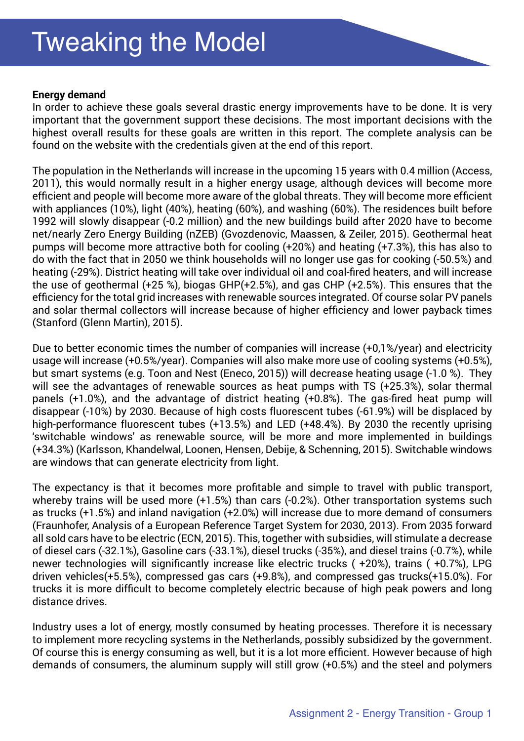### **Energy demand**

In order to achieve these goals several drastic energy improvements have to be done. It is very important that the government support these decisions. The most important decisions with the highest overall results for these goals are written in this report. The complete analysis can be found on the website with the credentials given at the end of this report.

The population in the Netherlands will increase in the upcoming 15 years with 0.4 million (Access, 2011), this would normally result in a higher energy usage, although devices will become more efficient and people will become more aware of the global threats. They will become more efficient with appliances (10%), light (40%), heating (60%), and washing (60%). The residences built before 1992 will slowly disappear (-0.2 million) and the new buildings build after 2020 have to become net/nearly Zero Energy Building (nZEB) (Gvozdenovic, Maassen, & Zeiler, 2015). Geothermal heat pumps will become more attractive both for cooling (+20%) and heating (+7.3%), this has also to do with the fact that in 2050 we think households will no longer use gas for cooking (-50.5%) and heating (-29%). District heating will take over individual oil and coal-fired heaters, and will increase the use of geothermal (+25 %), biogas GHP(+2.5%), and gas CHP (+2.5%). This ensures that the efficiency for the total grid increases with renewable sources integrated. Of course solar PV panels and solar thermal collectors will increase because of higher efficiency and lower payback times (Stanford (Glenn Martin), 2015).

Due to better economic times the number of companies will increase (+0,1%/year) and electricity usage will increase (+0.5%/year). Companies will also make more use of cooling systems (+0.5%), but smart systems (e.g. Toon and Nest (Eneco, 2015)) will decrease heating usage (-1.0 %). They will see the advantages of renewable sources as heat pumps with TS (+25.3%), solar thermal panels (+1.0%), and the advantage of district heating (+0.8%). The gas-fired heat pump will disappear (-10%) by 2030. Because of high costs fluorescent tubes (-61.9%) will be displaced by high-performance fluorescent tubes (+13.5%) and LED (+48.4%). By 2030 the recently uprising 'switchable windows' as renewable source, will be more and more implemented in buildings (+34.3%) (Karlsson, Khandelwal, Loonen, Hensen, Debije, & Schenning, 2015). Switchable windows are windows that can generate electricity from light.

The expectancy is that it becomes more profitable and simple to travel with public transport, whereby trains will be used more (+1.5%) than cars (-0.2%). Other transportation systems such as trucks (+1.5%) and inland navigation (+2.0%) will increase due to more demand of consumers (Fraunhofer, Analysis of a European Reference Target System for 2030, 2013). From 2035 forward all sold cars have to be electric (ECN, 2015). This, together with subsidies, will stimulate a decrease of diesel cars (-32.1%), Gasoline cars (-33.1%), diesel trucks (-35%), and diesel trains (-0.7%), while newer technologies will significantly increase like electric trucks ( +20%), trains ( +0.7%), LPG driven vehicles(+5.5%), compressed gas cars (+9.8%), and compressed gas trucks(+15.0%). For trucks it is more difficult to become completely electric because of high peak powers and long distance drives.

Industry uses a lot of energy, mostly consumed by heating processes. Therefore it is necessary to implement more recycling systems in the Netherlands, possibly subsidized by the government. Of course this is energy consuming as well, but it is a lot more efficient. However because of high demands of consumers, the aluminum supply will still grow (+0.5%) and the steel and polymers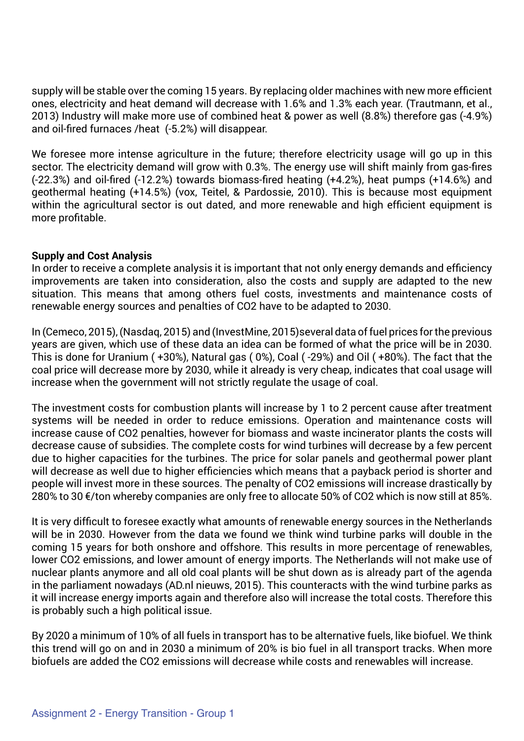supply will be stable over the coming 15 years. By replacing older machines with new more efficient ones, electricity and heat demand will decrease with 1.6% and 1.3% each year. (Trautmann, et al., 2013) Industry will make more use of combined heat & power as well (8.8%) therefore gas (-4.9%) and oil-fired furnaces /heat (-5.2%) will disappear.

We foresee more intense agriculture in the future; therefore electricity usage will go up in this sector. The electricity demand will grow with 0.3%. The energy use will shift mainly from gas-fires (-22.3%) and oil-fired (-12.2%) towards biomass-fired heating (+4.2%), heat pumps (+14.6%) and geothermal heating (+14.5%) (vox, Teitel, & Pardossie, 2010). This is because most equipment within the agricultural sector is out dated, and more renewable and high efficient equipment is more profitable.

#### **Supply and Cost Analysis**

In order to receive a complete analysis it is important that not only energy demands and efficiency improvements are taken into consideration, also the costs and supply are adapted to the new situation. This means that among others fuel costs, investments and maintenance costs of renewable energy sources and penalties of CO2 have to be adapted to 2030.

In (Cemeco, 2015), (Nasdaq, 2015) and (InvestMine, 2015)several data of fuel prices for the previous years are given, which use of these data an idea can be formed of what the price will be in 2030. This is done for Uranium ( +30%), Natural gas ( 0%), Coal ( -29%) and Oil ( +80%). The fact that the coal price will decrease more by 2030, while it already is very cheap, indicates that coal usage will increase when the government will not strictly regulate the usage of coal.

The investment costs for combustion plants will increase by 1 to 2 percent cause after treatment systems will be needed in order to reduce emissions. Operation and maintenance costs will increase cause of CO2 penalties, however for biomass and waste incinerator plants the costs will decrease cause of subsidies. The complete costs for wind turbines will decrease by a few percent due to higher capacities for the turbines. The price for solar panels and geothermal power plant will decrease as well due to higher efficiencies which means that a payback period is shorter and people will invest more in these sources. The penalty of CO2 emissions will increase drastically by 280% to 30 €/ton whereby companies are only free to allocate 50% of CO2 which is now still at 85%.

It is very difficult to foresee exactly what amounts of renewable energy sources in the Netherlands will be in 2030. However from the data we found we think wind turbine parks will double in the coming 15 years for both onshore and offshore. This results in more percentage of renewables, lower CO2 emissions, and lower amount of energy imports. The Netherlands will not make use of nuclear plants anymore and all old coal plants will be shut down as is already part of the agenda in the parliament nowadays (AD.nl nieuws, 2015). This counteracts with the wind turbine parks as it will increase energy imports again and therefore also will increase the total costs. Therefore this is probably such a high political issue.

By 2020 a minimum of 10% of all fuels in transport has to be alternative fuels, like biofuel. We think this trend will go on and in 2030 a minimum of 20% is bio fuel in all transport tracks. When more biofuels are added the CO2 emissions will decrease while costs and renewables will increase.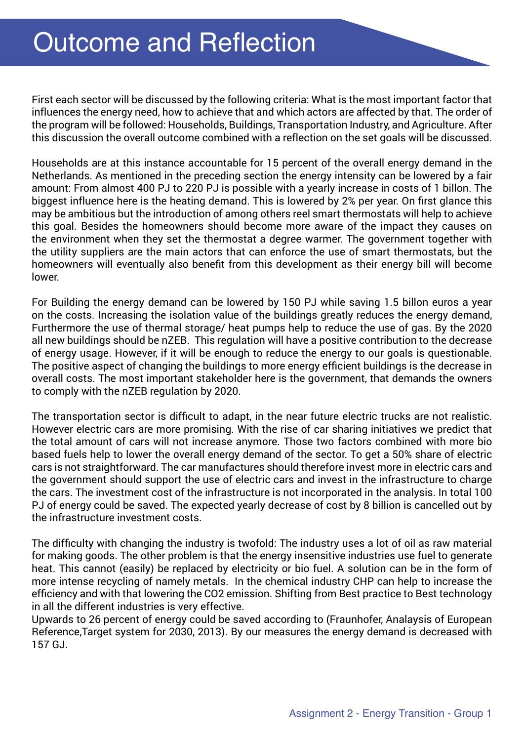First each sector will be discussed by the following criteria: What is the most important factor that influences the energy need, how to achieve that and which actors are affected by that. The order of the program will be followed: Households, Buildings, Transportation Industry, and Agriculture. After this discussion the overall outcome combined with a reflection on the set goals will be discussed.

Households are at this instance accountable for 15 percent of the overall energy demand in the Netherlands. As mentioned in the preceding section the energy intensity can be lowered by a fair amount: From almost 400 PJ to 220 PJ is possible with a yearly increase in costs of 1 billon. The biggest influence here is the heating demand. This is lowered by 2% per year. On first glance this may be ambitious but the introduction of among others reel smart thermostats will help to achieve this goal. Besides the homeowners should become more aware of the impact they causes on the environment when they set the thermostat a degree warmer. The government together with the utility suppliers are the main actors that can enforce the use of smart thermostats, but the homeowners will eventually also benefit from this development as their energy bill will become lower.

For Building the energy demand can be lowered by 150 PJ while saving 1.5 billon euros a year on the costs. Increasing the isolation value of the buildings greatly reduces the energy demand, Furthermore the use of thermal storage/ heat pumps help to reduce the use of gas. By the 2020 all new buildings should be nZEB. This regulation will have a positive contribution to the decrease of energy usage. However, if it will be enough to reduce the energy to our goals is questionable. The positive aspect of changing the buildings to more energy efficient buildings is the decrease in overall costs. The most important stakeholder here is the government, that demands the owners to comply with the nZEB regulation by 2020.

The transportation sector is difficult to adapt, in the near future electric trucks are not realistic. However electric cars are more promising. With the rise of car sharing initiatives we predict that the total amount of cars will not increase anymore. Those two factors combined with more bio based fuels help to lower the overall energy demand of the sector. To get a 50% share of electric cars is not straightforward. The car manufactures should therefore invest more in electric cars and the government should support the use of electric cars and invest in the infrastructure to charge the cars. The investment cost of the infrastructure is not incorporated in the analysis. In total 100 PJ of energy could be saved. The expected yearly decrease of cost by 8 billion is cancelled out by the infrastructure investment costs.

The difficulty with changing the industry is twofold: The industry uses a lot of oil as raw material for making goods. The other problem is that the energy insensitive industries use fuel to generate heat. This cannot (easily) be replaced by electricity or bio fuel. A solution can be in the form of more intense recycling of namely metals. In the chemical industry CHP can help to increase the efficiency and with that lowering the CO2 emission. Shifting from Best practice to Best technology in all the different industries is very effective.

Upwards to 26 percent of energy could be saved according to (Fraunhofer, Analaysis of European Reference,Target system for 2030, 2013). By our measures the energy demand is decreased with 157 GJ.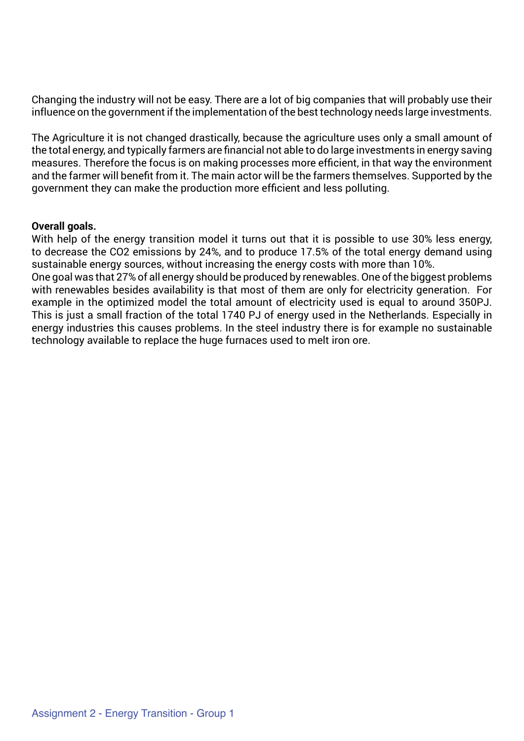Changing the industry will not be easy. There are a lot of big companies that will probably use their influence on the government if the implementation of the best technology needs large investments.

The Agriculture it is not changed drastically, because the agriculture uses only a small amount of the total energy, and typically farmers are financial not able to do large investments in energy saving measures. Therefore the focus is on making processes more efficient, in that way the environment and the farmer will benefit from it. The main actor will be the farmers themselves. Supported by the government they can make the production more efficient and less polluting.

#### **Overall goals.**

With help of the energy transition model it turns out that it is possible to use 30% less energy, to decrease the CO2 emissions by 24%, and to produce 17.5% of the total energy demand using sustainable energy sources, without increasing the energy costs with more than 10%.

One goal was that 27% of all energy should be produced by renewables. One of the biggest problems with renewables besides availability is that most of them are only for electricity generation. For example in the optimized model the total amount of electricity used is equal to around 350PJ. This is just a small fraction of the total 1740 PJ of energy used in the Netherlands. Especially in energy industries this causes problems. In the steel industry there is for example no sustainable technology available to replace the huge furnaces used to melt iron ore.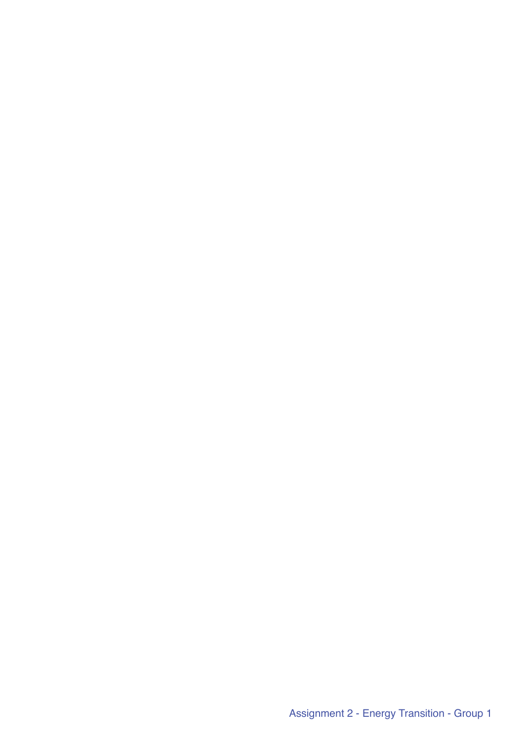Assignment 2 - Energy Transition - Group 1